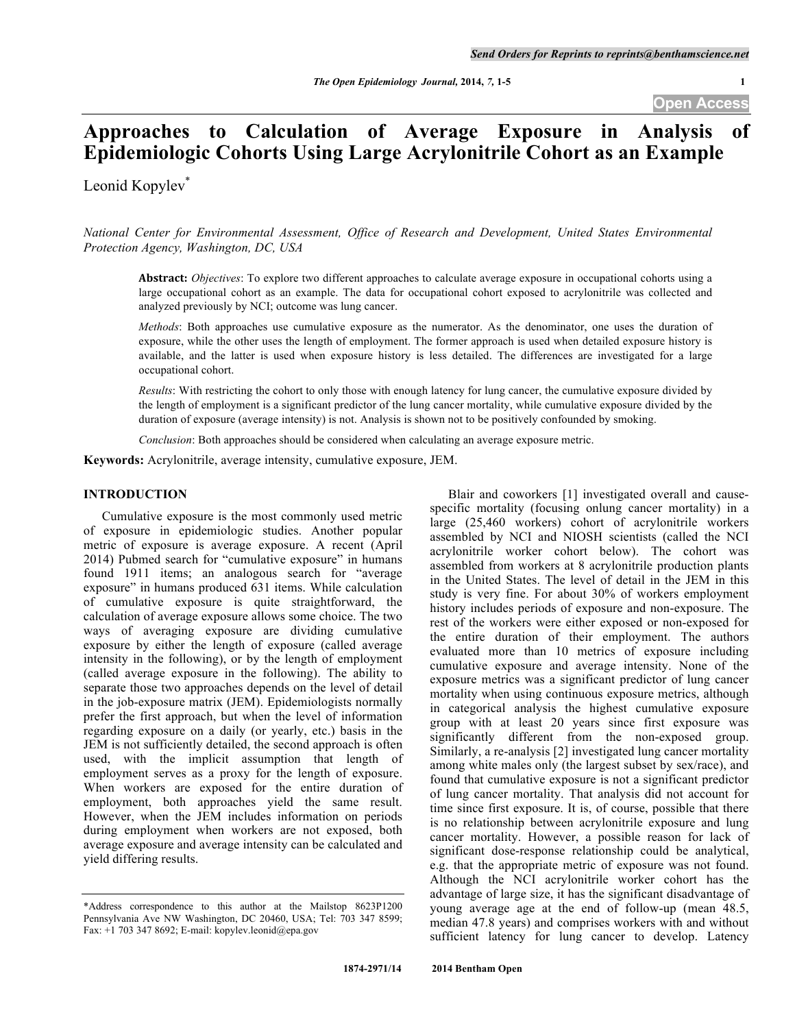# **Approaches to Calculation of Average Exposure in Analysis of Epidemiologic Cohorts Using Large Acrylonitrile Cohort as an Example**

Leonid Kopylev<sup>\*</sup>

*National Center for Environmental Assessment, Office of Research and Development, United States Environmental Protection Agency, Washington, DC, USA*

**Abstract:** *Objectives*: To explore two different approaches to calculate average exposure in occupational cohorts using a large occupational cohort as an example. The data for occupational cohort exposed to acrylonitrile was collected and analyzed previously by NCI; outcome was lung cancer.

*Methods*: Both approaches use cumulative exposure as the numerator. As the denominator, one uses the duration of exposure, while the other uses the length of employment. The former approach is used when detailed exposure history is available, and the latter is used when exposure history is less detailed. The differences are investigated for a large occupational cohort.

*Results*: With restricting the cohort to only those with enough latency for lung cancer, the cumulative exposure divided by the length of employment is a significant predictor of the lung cancer mortality, while cumulative exposure divided by the duration of exposure (average intensity) is not. Analysis is shown not to be positively confounded by smoking.

*Conclusion*: Both approaches should be considered when calculating an average exposure metric.

**Keywords:** Acrylonitrile, average intensity, cumulative exposure, JEM.

# **INTRODUCTION**

Cumulative exposure is the most commonly used metric of exposure in epidemiologic studies. Another popular metric of exposure is average exposure. A recent (April 2014) Pubmed search for "cumulative exposure" in humans found 1911 items; an analogous search for "average exposure" in humans produced 631 items. While calculation of cumulative exposure is quite straightforward, the calculation of average exposure allows some choice. The two ways of averaging exposure are dividing cumulative exposure by either the length of exposure (called average intensity in the following), or by the length of employment (called average exposure in the following). The ability to separate those two approaches depends on the level of detail in the job-exposure matrix (JEM). Epidemiologists normally prefer the first approach, but when the level of information regarding exposure on a daily (or yearly, etc.) basis in the JEM is not sufficiently detailed, the second approach is often used, with the implicit assumption that length of employment serves as a proxy for the length of exposure. When workers are exposed for the entire duration of employment, both approaches yield the same result. However, when the JEM includes information on periods during employment when workers are not exposed, both average exposure and average intensity can be calculated and yield differing results.

Blair and coworkers [1] investigated overall and causespecific mortality (focusing onlung cancer mortality) in a large (25,460 workers) cohort of acrylonitrile workers assembled by NCI and NIOSH scientists (called the NCI acrylonitrile worker cohort below). The cohort was assembled from workers at 8 acrylonitrile production plants in the United States. The level of detail in the JEM in this study is very fine. For about 30% of workers employment history includes periods of exposure and non-exposure. The rest of the workers were either exposed or non-exposed for the entire duration of their employment. The authors evaluated more than 10 metrics of exposure including cumulative exposure and average intensity. None of the exposure metrics was a significant predictor of lung cancer mortality when using continuous exposure metrics, although in categorical analysis the highest cumulative exposure group with at least 20 years since first exposure was significantly different from the non-exposed group. Similarly, a re-analysis [2] investigated lung cancer mortality among white males only (the largest subset by sex/race), and found that cumulative exposure is not a significant predictor of lung cancer mortality. That analysis did not account for time since first exposure. It is, of course, possible that there is no relationship between acrylonitrile exposure and lung cancer mortality. However, a possible reason for lack of significant dose-response relationship could be analytical, e.g. that the appropriate metric of exposure was not found. Although the NCI acrylonitrile worker cohort has the advantage of large size, it has the significant disadvantage of young average age at the end of follow-up (mean 48.5, median 47.8 years) and comprises workers with and without sufficient latency for lung cancer to develop. Latency

<sup>\*</sup>Address correspondence to this author at the Mailstop 8623P1200 Pennsylvania Ave NW Washington, DC 20460, USA; Tel: 703 347 8599; Fax: +1 703 347 8692; E-mail: kopylev.leonid@epa.gov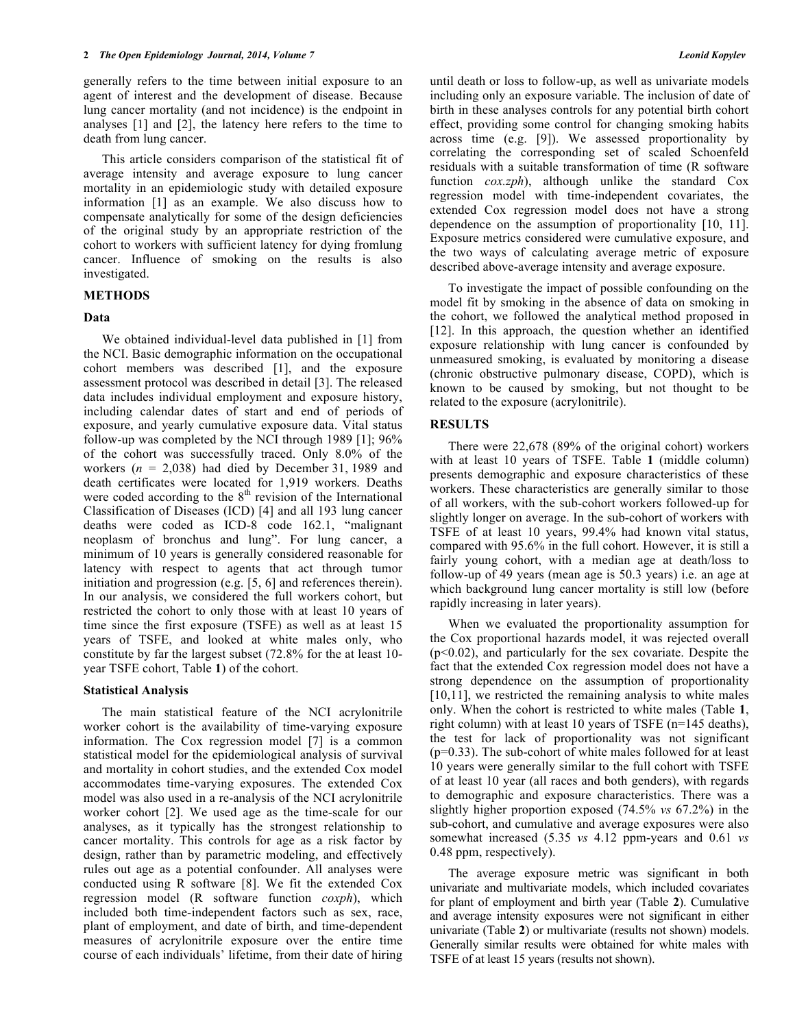generally refers to the time between initial exposure to an agent of interest and the development of disease. Because lung cancer mortality (and not incidence) is the endpoint in analyses [1] and [2], the latency here refers to the time to death from lung cancer.

This article considers comparison of the statistical fit of average intensity and average exposure to lung cancer mortality in an epidemiologic study with detailed exposure information [1] as an example. We also discuss how to compensate analytically for some of the design deficiencies of the original study by an appropriate restriction of the cohort to workers with sufficient latency for dying fromlung cancer. Influence of smoking on the results is also investigated.

#### **METHODS**

#### **Data**

We obtained individual-level data published in [1] from the NCI. Basic demographic information on the occupational cohort members was described [1], and the exposure assessment protocol was described in detail [3]. The released data includes individual employment and exposure history, including calendar dates of start and end of periods of exposure, and yearly cumulative exposure data. Vital status follow-up was completed by the NCI through 1989 [1]; 96% of the cohort was successfully traced. Only 8.0% of the workers  $(n = 2,038)$  had died by December 31, 1989 and death certificates were located for 1,919 workers. Deaths were coded according to the  $8<sup>th</sup>$  revision of the International Classification of Diseases (ICD) [4] and all 193 lung cancer deaths were coded as ICD-8 code 162.1, "malignant neoplasm of bronchus and lung". For lung cancer, a minimum of 10 years is generally considered reasonable for latency with respect to agents that act through tumor initiation and progression (e.g. [5, 6] and references therein). In our analysis, we considered the full workers cohort, but restricted the cohort to only those with at least 10 years of time since the first exposure (TSFE) as well as at least 15 years of TSFE, and looked at white males only, who constitute by far the largest subset (72.8% for the at least 10 year TSFE cohort, Table **1**) of the cohort.

#### **Statistical Analysis**

The main statistical feature of the NCI acrylonitrile worker cohort is the availability of time-varying exposure information. The Cox regression model [7] is a common statistical model for the epidemiological analysis of survival and mortality in cohort studies, and the extended Cox model accommodates time-varying exposures. The extended Cox model was also used in a re-analysis of the NCI acrylonitrile worker cohort [2]. We used age as the time-scale for our analyses, as it typically has the strongest relationship to cancer mortality. This controls for age as a risk factor by design, rather than by parametric modeling, and effectively rules out age as a potential confounder. All analyses were conducted using R software [8]. We fit the extended Cox regression model (R software function *coxph*), which included both time-independent factors such as sex, race, plant of employment, and date of birth, and time-dependent measures of acrylonitrile exposure over the entire time course of each individuals' lifetime, from their date of hiring

until death or loss to follow-up, as well as univariate models including only an exposure variable. The inclusion of date of birth in these analyses controls for any potential birth cohort effect, providing some control for changing smoking habits across time (e.g. [9]). We assessed proportionality by correlating the corresponding set of scaled Schoenfeld residuals with a suitable transformation of time (R software function *cox.zph*), although unlike the standard Cox regression model with time-independent covariates, the extended Cox regression model does not have a strong dependence on the assumption of proportionality [10, 11]. Exposure metrics considered were cumulative exposure, and the two ways of calculating average metric of exposure described above-average intensity and average exposure.

To investigate the impact of possible confounding on the model fit by smoking in the absence of data on smoking in the cohort, we followed the analytical method proposed in [12]. In this approach, the question whether an identified exposure relationship with lung cancer is confounded by unmeasured smoking, is evaluated by monitoring a disease (chronic obstructive pulmonary disease, COPD), which is known to be caused by smoking, but not thought to be related to the exposure (acrylonitrile).

#### **RESULTS**

There were 22,678 (89% of the original cohort) workers with at least 10 years of TSFE. Table **1** (middle column) presents demographic and exposure characteristics of these workers. These characteristics are generally similar to those of all workers, with the sub-cohort workers followed-up for slightly longer on average. In the sub-cohort of workers with TSFE of at least 10 years, 99.4% had known vital status, compared with 95.6% in the full cohort. However, it is still a fairly young cohort, with a median age at death/loss to follow-up of 49 years (mean age is 50.3 years) i.e. an age at which background lung cancer mortality is still low (before rapidly increasing in later years).

When we evaluated the proportionality assumption for the Cox proportional hazards model, it was rejected overall  $(p<0.02)$ , and particularly for the sex covariate. Despite the fact that the extended Cox regression model does not have a strong dependence on the assumption of proportionality [10,11], we restricted the remaining analysis to white males only. When the cohort is restricted to white males (Table **1**, right column) with at least 10 years of TSFE (n=145 deaths), the test for lack of proportionality was not significant  $(p=0.33)$ . The sub-cohort of white males followed for at least 10 years were generally similar to the full cohort with TSFE of at least 10 year (all races and both genders), with regards to demographic and exposure characteristics. There was a slightly higher proportion exposed (74.5% *vs* 67.2%) in the sub-cohort, and cumulative and average exposures were also somewhat increased (5.35 *vs* 4.12 ppm-years and 0.61 *vs* 0.48 ppm, respectively).

The average exposure metric was significant in both univariate and multivariate models, which included covariates for plant of employment and birth year (Table **2**). Cumulative and average intensity exposures were not significant in either univariate (Table **2**) or multivariate (results not shown) models. Generally similar results were obtained for white males with TSFE of at least 15 years (results not shown).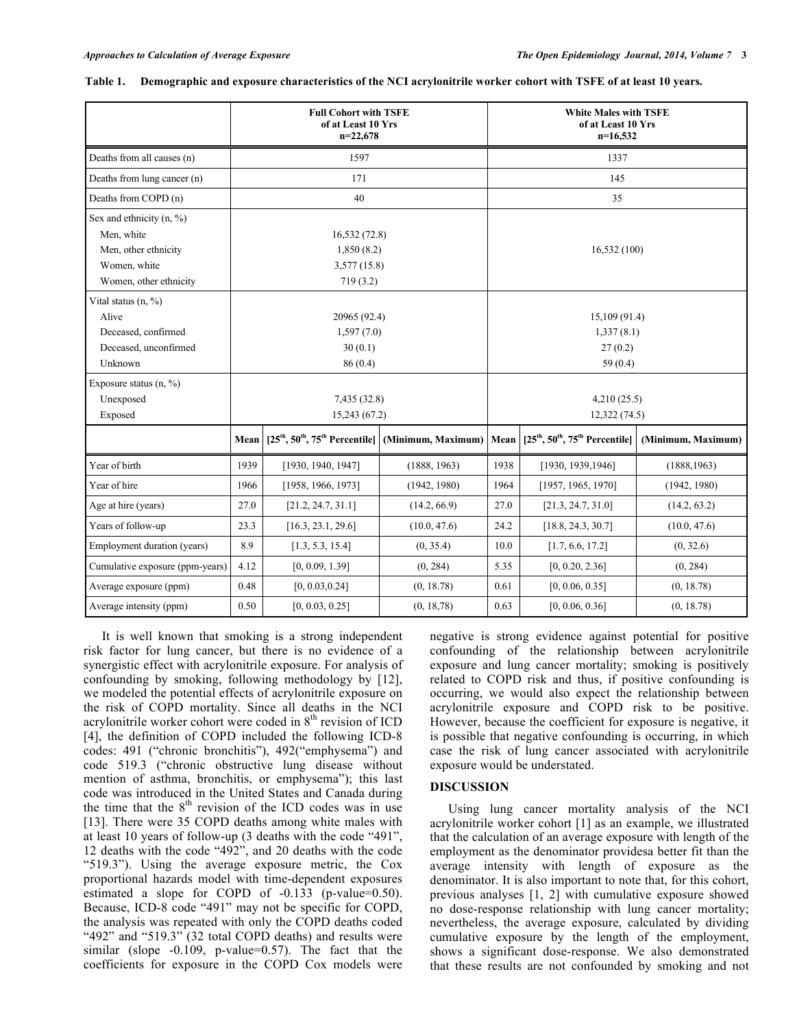|                                    | <b>Full Cohort with TSFE</b><br>of at Least 10 Yrs<br>$n=22,678$ |                                                    |              | <b>White Males with TSFE</b><br>of at Least 10 Yrs<br>$n=16,532$ |                                                     |              |  |
|------------------------------------|------------------------------------------------------------------|----------------------------------------------------|--------------|------------------------------------------------------------------|-----------------------------------------------------|--------------|--|
| Deaths from all causes (n)         |                                                                  | 1597                                               |              |                                                                  | 1337                                                |              |  |
| Deaths from lung cancer (n)        |                                                                  | 171                                                |              |                                                                  | 145                                                 |              |  |
| Deaths from COPD (n)               | 40                                                               |                                                    |              | 35                                                               |                                                     |              |  |
| Sex and ethnicity $(n, %)$         |                                                                  |                                                    |              |                                                                  |                                                     |              |  |
| Men, white                         | 16,532(72.8)                                                     |                                                    |              |                                                                  |                                                     |              |  |
| Men, other ethnicity               |                                                                  | 1,850(8.2)                                         |              |                                                                  | 16,532(100)                                         |              |  |
| Women, white                       |                                                                  | 3,577(15.8)                                        |              |                                                                  |                                                     |              |  |
| Women, other ethnicity             | 719(3.2)                                                         |                                                    |              |                                                                  |                                                     |              |  |
| Vital status (n, %)                |                                                                  |                                                    |              |                                                                  |                                                     |              |  |
| Alive                              | 20965 (92.4)                                                     |                                                    |              | 15,109 (91.4)                                                    |                                                     |              |  |
| Deceased, confirmed                | 1,597(7.0)                                                       |                                                    |              | 1,337(8.1)                                                       |                                                     |              |  |
| Deceased, unconfirmed              | 30(0.1)                                                          |                                                    |              | 27(0.2)                                                          |                                                     |              |  |
| Unknown                            | 86(0.4)                                                          |                                                    |              | 59 $(0.4)$                                                       |                                                     |              |  |
| Exposure status $(n, \frac{9}{6})$ |                                                                  |                                                    |              |                                                                  |                                                     |              |  |
| Unexposed                          |                                                                  | 7,435 (32.8)                                       |              | 4,210(25.5)                                                      |                                                     |              |  |
| Exposed                            |                                                                  |                                                    | 15,243(67.2) |                                                                  | 12,322(74.5)                                        |              |  |
|                                    | Mean                                                             | $[25th, 50th, 75th$ Percentile] (Minimum, Maximum) |              | Mean                                                             | $[25th, 50th, 75th$ Percentile   (Minimum, Maximum) |              |  |
| Year of birth                      | 1939                                                             | [1930, 1940, 1947]                                 | (1888, 1963) | 1938                                                             | [1930, 1939, 1946]                                  | (1888, 1963) |  |
| Year of hire                       | 1966                                                             | [1958, 1966, 1973]                                 | (1942, 1980) | 1964                                                             | [1957, 1965, 1970]                                  | (1942, 1980) |  |
| Age at hire (years)                | 27.0                                                             | [21.2, 24.7, 31.1]                                 | (14.2, 66.9) | 27.0                                                             | [21.3, 24.7, 31.0]                                  | (14.2, 63.2) |  |
| Years of follow-up                 | 23.3                                                             | [16.3, 23.1, 29.6]                                 | (10.0, 47.6) | 24.2                                                             | [18.8, 24.3, 30.7]                                  | (10.0, 47.6) |  |
| Employment duration (years)        | 8.9                                                              | [1.3, 5.3, 15.4]                                   | (0, 35.4)    | 10.0                                                             | [1.7, 6.6, 17.2]                                    | (0, 32.6)    |  |
| Cumulative exposure (ppm-years)    | 4.12                                                             | [0, 0.09, 1.39]                                    | (0, 284)     | 5.35                                                             | [0, 0.20, 2.36]                                     | (0, 284)     |  |
| Average exposure (ppm)             | 0.48                                                             | [0, 0.03, 0.24]                                    | (0, 18.78)   | 0.61                                                             | [0, 0.06, 0.35]                                     | (0, 18.78)   |  |
| Average intensity (ppm)            | 0.50                                                             | [0, 0.03, 0.25]                                    | (0, 18, 78)  | 0.63                                                             | [0, 0.06, 0.36]                                     | (0, 18.78)   |  |

|  | Table 1. Demographic and exposure characteristics of the NCI acrylonitrile worker cohort with TSFE of at least 10 years. |  |  |  |
|--|--------------------------------------------------------------------------------------------------------------------------|--|--|--|
|  |                                                                                                                          |  |  |  |

It is well known that smoking is a strong independent risk factor for lung cancer, but there is no evidence of a synergistic effect with acrylonitrile exposure. For analysis of confounding by smoking, following methodology by [12], we modeled the potential effects of acrylonitrile exposure on the risk of COPD mortality. Since all deaths in the NCI acrylonitrile worker cohort were coded in  $8<sup>th</sup>$  revision of ICD [4], the definition of COPD included the following ICD-8 codes: 491 ("chronic bronchitis"), 492("emphysema") and code 519.3 ("chronic obstructive lung disease without mention of asthma, bronchitis, or emphysema"); this last code was introduced in the United States and Canada during the time that the  $8<sup>th</sup>$  revision of the ICD codes was in use [13]. There were 35 COPD deaths among white males with at least 10 years of follow-up (3 deaths with the code "491", 12 deaths with the code "492", and 20 deaths with the code "519.3"). Using the average exposure metric, the Cox proportional hazards model with time-dependent exposures estimated a slope for COPD of -0.133 (p-value=0.50). Because, ICD-8 code "491" may not be specific for COPD, the analysis was repeated with only the COPD deaths coded "492" and "519.3" (32 total COPD deaths) and results were similar (slope  $-0.109$ , p-value=0.57). The fact that the coefficients for exposure in the COPD Cox models were

negative is strong evidence against potential for positive confounding of the relationship between acrylonitrile exposure and lung cancer mortality; smoking is positively related to COPD risk and thus, if positive confounding is occurring, we would also expect the relationship between acrylonitrile exposure and COPD risk to be positive. However, because the coefficient for exposure is negative, it is possible that negative confounding is occurring, in which case the risk of lung cancer associated with acrylonitrile exposure would be understated.

#### **DISCUSSION**

Using lung cancer mortality analysis of the NCI acrylonitrile worker cohort [1] as an example, we illustrated that the calculation of an average exposure with length of the employment as the denominator providesa better fit than the average intensity with length of exposure as the denominator. It is also important to note that, for this cohort, previous analyses [1, 2] with cumulative exposure showed no dose-response relationship with lung cancer mortality; nevertheless, the average exposure, calculated by dividing cumulative exposure by the length of the employment, shows a significant dose-response. We also demonstrated that these results are not confounded by smoking and not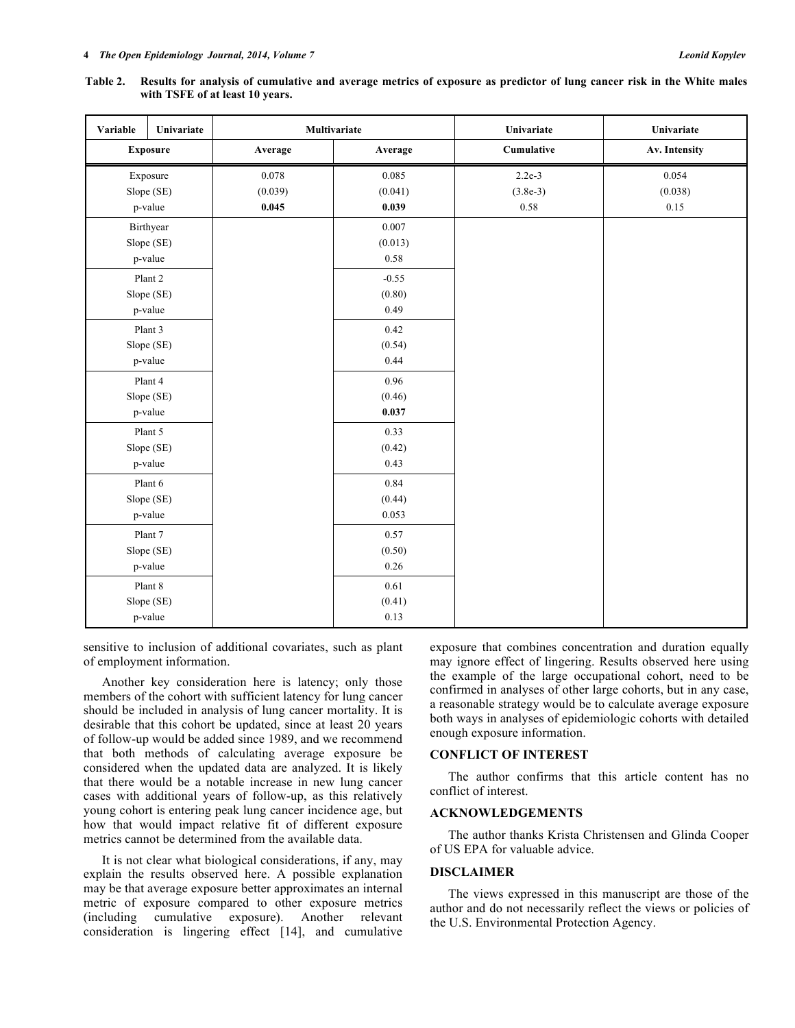| Variable        | Univariate | Multivariate |         | Univariate | Univariate    |
|-----------------|------------|--------------|---------|------------|---------------|
| <b>Exposure</b> |            | Average      | Average | Cumulative | Av. Intensity |
| Exposure        |            | 0.078        | 0.085   | $2.2e-3$   | 0.054         |
| Slope (SE)      |            | (0.039)      | (0.041) | $(3.8e-3)$ | (0.038)       |
|                 | p-value    | 0.045        | 0.039   | $0.58\,$   | 0.15          |
|                 | Birthyear  |              | 0.007   |            |               |
|                 | Slope (SE) |              | (0.013) |            |               |
|                 | p-value    |              | 0.58    |            |               |
|                 | Plant 2    |              | $-0.55$ |            |               |
|                 | Slope (SE) |              | (0.80)  |            |               |
|                 | p-value    |              | 0.49    |            |               |
|                 | Plant 3    |              | 0.42    |            |               |
|                 | Slope (SE) |              | (0.54)  |            |               |
| p-value         |            |              | 0.44    |            |               |
|                 | Plant 4    |              | 0.96    |            |               |
| Slope (SE)      |            |              | (0.46)  |            |               |
| p-value         |            |              | 0.037   |            |               |
| Plant 5         |            |              | 0.33    |            |               |
| Slope (SE)      |            |              | (0.42)  |            |               |
| p-value         |            |              | 0.43    |            |               |
| Plant 6         |            |              | 0.84    |            |               |
| Slope (SE)      |            |              | (0.44)  |            |               |
| p-value         |            |              | 0.053   |            |               |
| Plant 7         |            |              | 0.57    |            |               |
| Slope (SE)      |            |              | (0.50)  |            |               |
| p-value         |            |              | 0.26    |            |               |
| Plant 8         |            |              | 0.61    |            |               |
| Slope (SE)      |            |              | (0.41)  |            |               |
| p-value         |            |              | 0.13    |            |               |

**Table 2. Results for analysis of cumulative and average metrics of exposure as predictor of lung cancer risk in the White males with TSFE of at least 10 years.**

sensitive to inclusion of additional covariates, such as plant of employment information.

Another key consideration here is latency; only those members of the cohort with sufficient latency for lung cancer should be included in analysis of lung cancer mortality. It is desirable that this cohort be updated, since at least 20 years of follow-up would be added since 1989, and we recommend that both methods of calculating average exposure be considered when the updated data are analyzed. It is likely that there would be a notable increase in new lung cancer cases with additional years of follow-up, as this relatively young cohort is entering peak lung cancer incidence age, but how that would impact relative fit of different exposure metrics cannot be determined from the available data.

It is not clear what biological considerations, if any, may explain the results observed here. A possible explanation may be that average exposure better approximates an internal metric of exposure compared to other exposure metrics (including cumulative exposure). Another relevant consideration is lingering effect [14], and cumulative

exposure that combines concentration and duration equally may ignore effect of lingering. Results observed here using the example of the large occupational cohort, need to be confirmed in analyses of other large cohorts, but in any case, a reasonable strategy would be to calculate average exposure both ways in analyses of epidemiologic cohorts with detailed enough exposure information.

#### **CONFLICT OF INTEREST**

The author confirms that this article content has no conflict of interest.

## **ACKNOWLEDGEMENTS**

The author thanks Krista Christensen and Glinda Cooper of US EPA for valuable advice.

### **DISCLAIMER**

The views expressed in this manuscript are those of the author and do not necessarily reflect the views or policies of the U.S. Environmental Protection Agency.